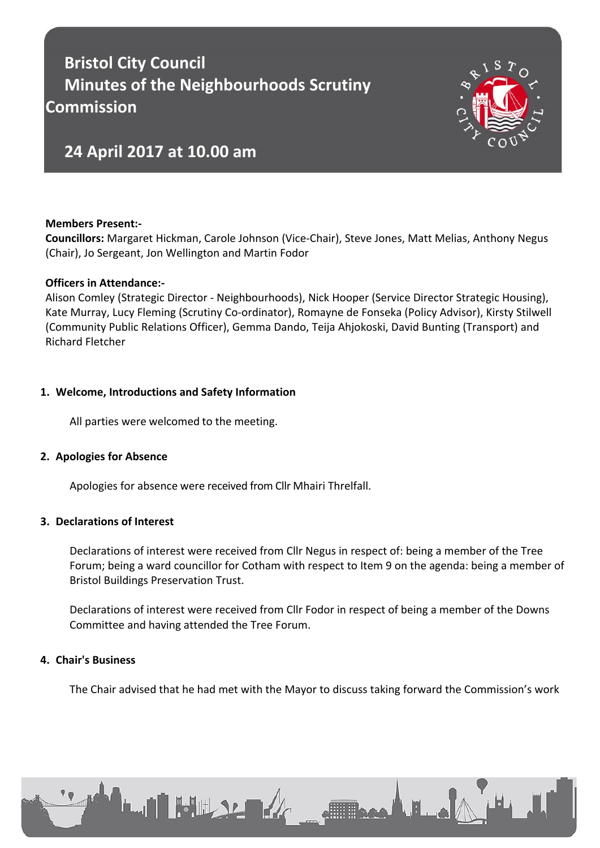# **Bristol City Council Minutes of the Neighbourhoods Scrutiny Commission**



# **24 April 2017 at 10.00 am**

# **Members Present:-**

**Councillors:** Margaret Hickman, Carole Johnson (Vice-Chair), Steve Jones, Matt Melias, Anthony Negus (Chair), Jo Sergeant, Jon Wellington and Martin Fodor

#### **Officers in Attendance:-**

Alison Comley (Strategic Director - Neighbourhoods), Nick Hooper (Service Director Strategic Housing), Kate Murray, Lucy Fleming (Scrutiny Co-ordinator), Romayne de Fonseka (Policy Advisor), Kirsty Stilwell (Community Public Relations Officer), Gemma Dando, Teija Ahjokoski, David Bunting (Transport) and Richard Fletcher

# **1. Welcome, Introductions and Safety Information**

All parties were welcomed to the meeting.

# **2. Apologies for Absence**

Apologies for absence were received from Cllr Mhairi Threlfall.

#### **3. Declarations of Interest**

Declarations of interest were received from Cllr Negus in respect of: being a member of the Tree Forum; being a ward councillor for Cotham with respect to Item 9 on the agenda: being a member of Bristol Buildings Preservation Trust.

Declarations of interest were received from Cllr Fodor in respect of being a member of the Downs Committee and having attended the Tree Forum.

# **4. Chair's Business**

The Chair advised that he had met with the Mayor to discuss taking forward the Commission's work

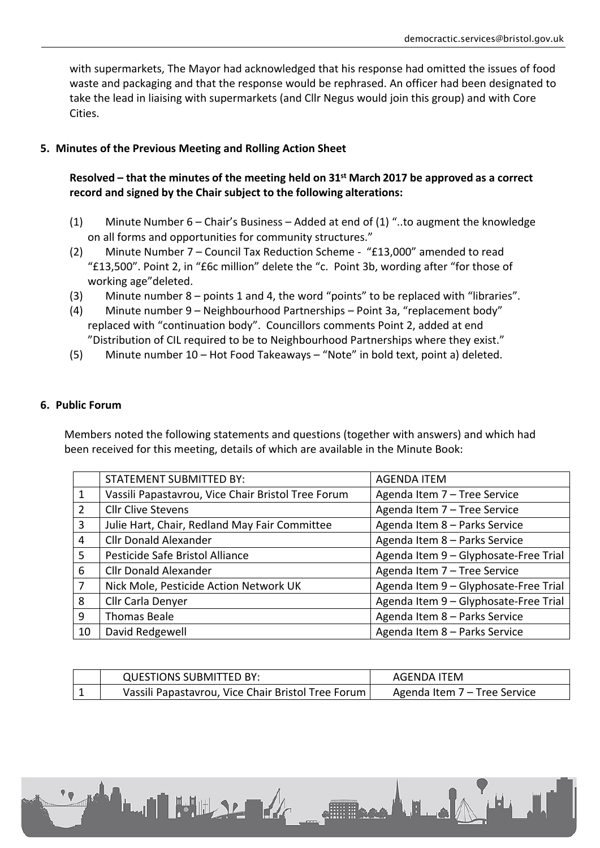with supermarkets, The Mayor had acknowledged that his response had omitted the issues of food waste and packaging and that the response would be rephrased. An officer had been designated to take the lead in liaising with supermarkets (and Cllr Negus would join this group) and with Core Cities.

# **5. Minutes of the Previous Meeting and Rolling Action Sheet**

# Resolved – that the minutes of the meeting held on 31<sup>st</sup> March 2017 be approved as a correct **record and signed by the Chair subject to the following alterations:**

- (1) Minute Number 6 Chair's Business Added at end of (1) "..to augment the knowledge on all forms and opportunities for community structures."
- (2) Minute Number 7 Council Tax Reduction Scheme "£13,000" amended to read "£13,500". Point 2, in "£6c million" delete the "c. Point 3b, wording after "for those of working age"deleted.
- (3) Minute number 8 points 1 and 4, the word "points" to be replaced with "libraries".
- (4) Minute number 9 Neighbourhood Partnerships Point 3a, "replacement body" replaced with "continuation body". Councillors comments Point 2, added at end "Distribution of CIL required to be to Neighbourhood Partnerships where they exist."
- (5) Minute number 10 Hot Food Takeaways "Note" in bold text, point a) deleted.

#### **6. Public Forum**

Members noted the following statements and questions (together with answers) and which had been received for this meeting, details of which are available in the Minute Book:

|                | <b>STATEMENT SUBMITTED BY:</b>                     | <b>AGENDA ITEM</b>                    |
|----------------|----------------------------------------------------|---------------------------------------|
| 1              | Vassili Papastavrou, Vice Chair Bristol Tree Forum | Agenda Item 7 - Tree Service          |
| $\overline{2}$ | <b>Cllr Clive Stevens</b>                          | Agenda Item 7 - Tree Service          |
| 3              | Julie Hart, Chair, Redland May Fair Committee      | Agenda Item 8 - Parks Service         |
| 4              | <b>Cllr Donald Alexander</b>                       | Agenda Item 8 - Parks Service         |
| 5              | Pesticide Safe Bristol Alliance                    | Agenda Item 9 - Glyphosate-Free Trial |
| 6              | <b>Cllr Donald Alexander</b>                       | Agenda Item 7 - Tree Service          |
| 7              | Nick Mole, Pesticide Action Network UK             | Agenda Item 9 - Glyphosate-Free Trial |
| 8              | Cllr Carla Denyer                                  | Agenda Item 9 - Glyphosate-Free Trial |
| 9              | Thomas Beale                                       | Agenda Item 8 - Parks Service         |
| 10             | David Redgewell                                    | Agenda Item 8 - Parks Service         |

| <b>QUESTIONS SUBMITTED BY:</b>                     | AGFNDA ITFM                  |
|----------------------------------------------------|------------------------------|
| Vassili Papastavrou, Vice Chair Bristol Tree Forum | Agenda Item 7 – Tree Service |

Allega Lillia

**LAN 54 10 12 12 12 12**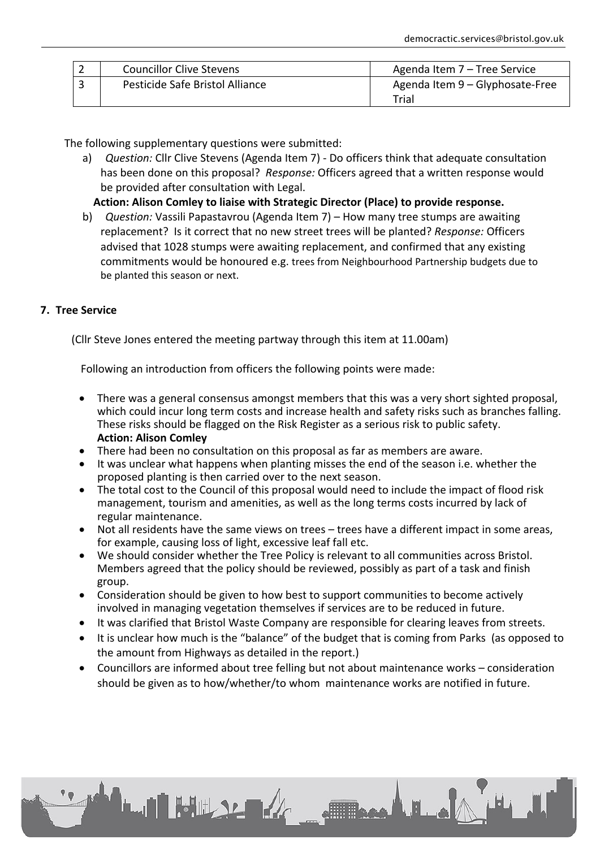| ▃ | <b>Councillor Clive Stevens</b> | Agenda Item 7 - Tree Service             |
|---|---------------------------------|------------------------------------------|
|   | Pesticide Safe Bristol Alliance | Agenda Item 9 - Glyphosate-Free<br>Trial |

The following supplementary questions were submitted:

**LAI FULLSLER** 

a) *Question:* Cllr Clive Stevens (Agenda Item 7) - Do officers think that adequate consultation has been done on this proposal? *Response:* Officers agreed that a written response would be provided after consultation with Legal.

**Action: Alison Comley to liaise with Strategic Director (Place) to provide response.**

b) *Question:* Vassili Papastavrou (Agenda Item 7) – How many tree stumps are awaiting replacement? Is it correct that no new street trees will be planted? *Response:* Officers advised that 1028 stumps were awaiting replacement, and confirmed that any existing commitments would be honoured e.g. trees from Neighbourhood Partnership budgets due to be planted this season or next.

# **7. Tree Service**

(Cllr Steve Jones entered the meeting partway through this item at 11.00am)

Following an introduction from officers the following points were made:

- There was a general consensus amongst members that this was a very short sighted proposal, which could incur long term costs and increase health and safety risks such as branches falling. These risks should be flagged on the Risk Register as a serious risk to public safety. **Action: Alison Comley**
- There had been no consultation on this proposal as far as members are aware.
- It was unclear what happens when planting misses the end of the season i.e. whether the proposed planting is then carried over to the next season.
- The total cost to the Council of this proposal would need to include the impact of flood risk management, tourism and amenities, as well as the long terms costs incurred by lack of regular maintenance.
- Not all residents have the same views on trees trees have a different impact in some areas, for example, causing loss of light, excessive leaf fall etc.
- We should consider whether the Tree Policy is relevant to all communities across Bristol. Members agreed that the policy should be reviewed, possibly as part of a task and finish group.
- Consideration should be given to how best to support communities to become actively involved in managing vegetation themselves if services are to be reduced in future.
- It was clarified that Bristol Waste Company are responsible for clearing leaves from streets.
- It is unclear how much is the "balance" of the budget that is coming from Parks (as opposed to the amount from Highways as detailed in the report.)
- Councillors are informed about tree felling but not about maintenance works consideration should be given as to how/whether/to whom maintenance works are notified in future.

**ETTE CARL BL.A**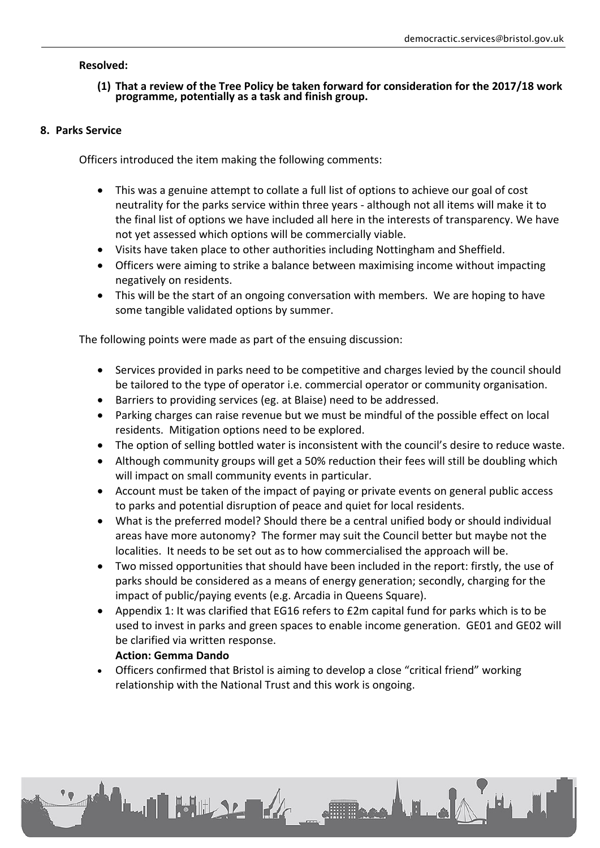# **Resolved:**

#### **(1) That a review of the Tree Policy be taken forward for consideration for the 2017/18 work programme, potentially as a task and finish group.**

#### **8. Parks Service**

Officers introduced the item making the following comments:

- This was a genuine attempt to collate a full list of options to achieve our goal of cost neutrality for the parks service within three years - although not all items will make it to the final list of options we have included all here in the interests of transparency. We have not yet assessed which options will be commercially viable.
- Visits have taken place to other authorities including Nottingham and Sheffield.
- Officers were aiming to strike a balance between maximising income without impacting negatively on residents.
- This will be the start of an ongoing conversation with members. We are hoping to have some tangible validated options by summer.

The following points were made as part of the ensuing discussion:

- Services provided in parks need to be competitive and charges levied by the council should be tailored to the type of operator i.e. commercial operator or community organisation.
- Barriers to providing services (eg. at Blaise) need to be addressed.
- Parking charges can raise revenue but we must be mindful of the possible effect on local residents. Mitigation options need to be explored.
- The option of selling bottled water is inconsistent with the council's desire to reduce waste.
- Although community groups will get a 50% reduction their fees will still be doubling which will impact on small community events in particular.
- Account must be taken of the impact of paying or private events on general public access to parks and potential disruption of peace and quiet for local residents.
- What is the preferred model? Should there be a central unified body or should individual areas have more autonomy? The former may suit the Council better but maybe not the localities. It needs to be set out as to how commercialised the approach will be.
- Two missed opportunities that should have been included in the report: firstly, the use of parks should be considered as a means of energy generation; secondly, charging for the impact of public/paying events (e.g. Arcadia in Queens Square).
- Appendix 1: It was clarified that EG16 refers to £2m capital fund for parks which is to be used to invest in parks and green spaces to enable income generation. GE01 and GE02 will be clarified via written response.

**Allie A. H. ...** 

#### **Action: Gemma Dando**

**LAN FULL SE DE 4** 

 Officers confirmed that Bristol is aiming to develop a close "critical friend" working relationship with the National Trust and this work is ongoing.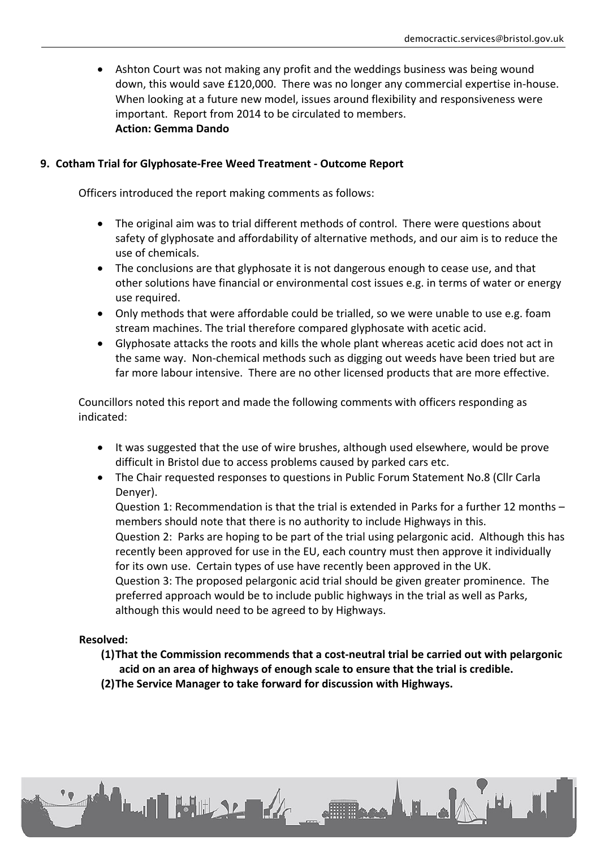Ashton Court was not making any profit and the weddings business was being wound down, this would save £120,000. There was no longer any commercial expertise in-house. When looking at a future new model, issues around flexibility and responsiveness were important. Report from 2014 to be circulated to members. **Action: Gemma Dando**

# **9. Cotham Trial for Glyphosate-Free Weed Treatment - Outcome Report**

Officers introduced the report making comments as follows:

- The original aim was to trial different methods of control. There were questions about safety of glyphosate and affordability of alternative methods, and our aim is to reduce the use of chemicals.
- The conclusions are that glyphosate it is not dangerous enough to cease use, and that other solutions have financial or environmental cost issues e.g. in terms of water or energy use required.
- Only methods that were affordable could be trialled, so we were unable to use e.g. foam stream machines. The trial therefore compared glyphosate with acetic acid.
- Glyphosate attacks the roots and kills the whole plant whereas acetic acid does not act in the same way. Non-chemical methods such as digging out weeds have been tried but are far more labour intensive. There are no other licensed products that are more effective.

Councillors noted this report and made the following comments with officers responding as indicated:

- It was suggested that the use of wire brushes, although used elsewhere, would be prove difficult in Bristol due to access problems caused by parked cars etc.
- The Chair requested responses to questions in Public Forum Statement No.8 (Cllr Carla Denyer).

Question 1: Recommendation is that the trial is extended in Parks for a further 12 months – members should note that there is no authority to include Highways in this. Question 2: Parks are hoping to be part of the trial using pelargonic acid. Although this has recently been approved for use in the EU, each country must then approve it individually for its own use. Certain types of use have recently been approved in the UK. Question 3: The proposed pelargonic acid trial should be given greater prominence. The preferred approach would be to include public highways in the trial as well as Parks, although this would need to be agreed to by Highways.

#### **Resolved:**

**(1)That the Commission recommends that a cost-neutral trial be carried out with pelargonic acid on an area of highways of enough scale to ensure that the trial is credible.**

**Allisage A. H. Le** 

**(2)The Service Manager to take forward for discussion with Highways.**

**LAI FULLSE A**